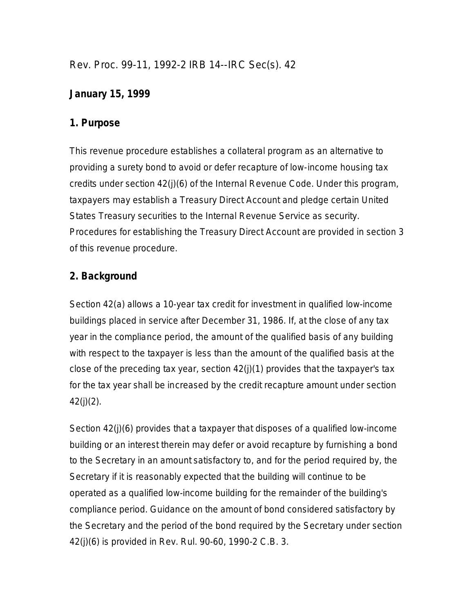Rev. Proc. 99-11, 1992-2 IRB 14--IRC Sec(s). 42

## **January 15, 1999**

### **1. Purpose**

This revenue procedure establishes a collateral program as an alternative to providing a surety bond to avoid or defer recapture of low-income housing tax credits under section 42(j)(6) of the Internal Revenue Code. Under this program, taxpayers may establish a Treasury Direct Account and pledge certain United States Treasury securities to the Internal Revenue Service as security. Procedures for establishing the Treasury Direct Account are provided in section 3 of this revenue procedure.

# **2. Background**

Section 42(a) allows a 10-year tax credit for investment in qualified low-income buildings placed in service after December 31, 1986. If, at the close of any tax year in the compliance period, the amount of the qualified basis of any building with respect to the taxpayer is less than the amount of the qualified basis at the close of the preceding tax year, section 42(j)(1) provides that the taxpayer's tax for the tax year shall be increased by the credit recapture amount under section  $42(i)(2)$ .

Section 42(j)(6) provides that a taxpayer that disposes of a qualified low-income building or an interest therein may defer or avoid recapture by furnishing a bond to the Secretary in an amount satisfactory to, and for the period required by, the Secretary if it is reasonably expected that the building will continue to be operated as a qualified low-income building for the remainder of the building's compliance period. Guidance on the amount of bond considered satisfactory by the Secretary and the period of the bond required by the Secretary under section 42(j)(6) is provided in Rev. Rul. 90-60, 1990-2 C.B. 3.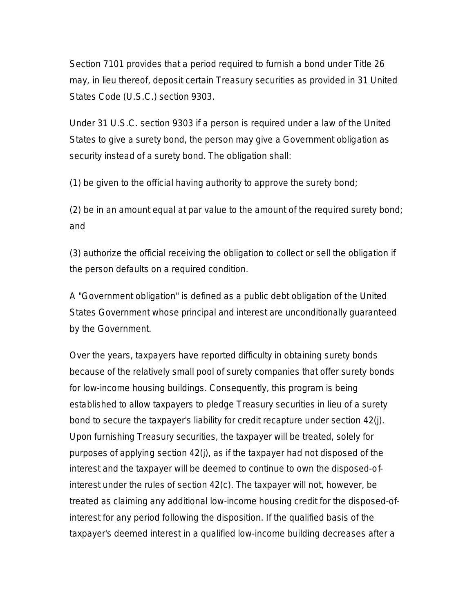Section 7101 provides that a period required to furnish a bond under Title 26 may, in lieu thereof, deposit certain Treasury securities as provided in 31 United States Code (U.S.C.) section 9303.

Under 31 U.S.C. section 9303 if a person is required under a law of the United States to give a surety bond, the person may give a Government obligation as security instead of a surety bond. The obligation shall:

(1) be given to the official having authority to approve the surety bond;

(2) be in an amount equal at par value to the amount of the required surety bond; and

(3) authorize the official receiving the obligation to collect or sell the obligation if the person defaults on a required condition.

A "Government obligation" is defined as a public debt obligation of the United States Government whose principal and interest are unconditionally guaranteed by the Government.

Over the years, taxpayers have reported difficulty in obtaining surety bonds because of the relatively small pool of surety companies that offer surety bonds for low-income housing buildings. Consequently, this program is being established to allow taxpayers to pledge Treasury securities in lieu of a surety bond to secure the taxpayer's liability for credit recapture under section 42(j). Upon furnishing Treasury securities, the taxpayer will be treated, solely for purposes of applying section 42(j), as if the taxpayer had not disposed of the interest and the taxpayer will be deemed to continue to own the disposed-ofinterest under the rules of section 42(c). The taxpayer will not, however, be treated as claiming any additional low-income housing credit for the disposed-ofinterest for any period following the disposition. If the qualified basis of the taxpayer's deemed interest in a qualified low-income building decreases after a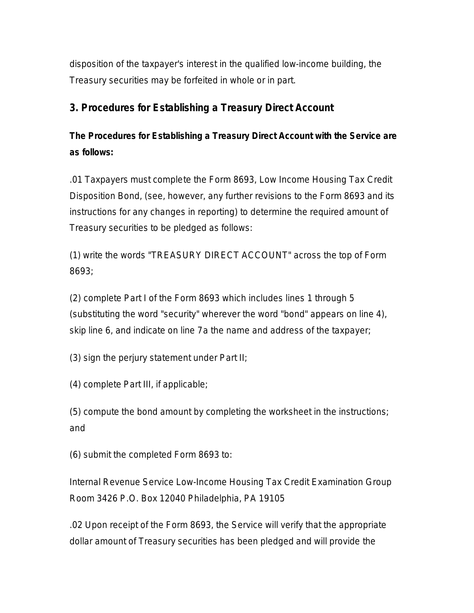disposition of the taxpayer's interest in the qualified low-income building, the Treasury securities may be forfeited in whole or in part.

#### **3. Procedures for Establishing a Treasury Direct Account**

# **The Procedures for Establishing a Treasury Direct Account with the Service are as follows:**

.01 Taxpayers must complete the Form 8693, Low Income Housing Tax Credit Disposition Bond, (see, however, any further revisions to the Form 8693 and its instructions for any changes in reporting) to determine the required amount of Treasury securities to be pledged as follows:

(1) write the words "TREASURY DIRECT ACCOUNT" across the top of Form 8693;

(2) complete Part I of the Form 8693 which includes lines 1 through 5 (substituting the word "security" wherever the word "bond" appears on line 4), skip line 6, and indicate on line 7a the name and address of the taxpayer;

(3) sign the perjury statement under Part II;

(4) complete Part III, if applicable;

(5) compute the bond amount by completing the worksheet in the instructions; and

(6) submit the completed Form 8693 to:

Internal Revenue Service Low-Income Housing Tax Credit Examination Group Room 3426 P.O. Box 12040 Philadelphia, PA 19105

.02 Upon receipt of the Form 8693, the Service will verify that the appropriate dollar amount of Treasury securities has been pledged and will provide the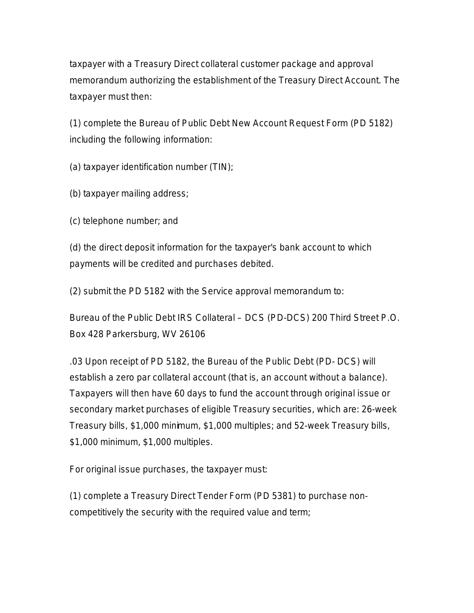taxpayer with a Treasury Direct collateral customer package and approval memorandum authorizing the establishment of the Treasury Direct Account. The taxpayer must then:

(1) complete the Bureau of Public Debt New Account Request Form (PD 5182) including the following information:

(a) taxpayer identification number (TIN);

(b) taxpayer mailing address;

(c) telephone number; and

(d) the direct deposit information for the taxpayer's bank account to which payments will be credited and purchases debited.

(2) submit the PD 5182 with the Service approval memorandum to:

Bureau of the Public Debt IRS Collateral – DCS (PD-DCS) 200 Third Street P.O. Box 428 Parkersburg, WV 26106

.03 Upon receipt of PD 5182, the Bureau of the Public Debt (PD- DCS) will establish a zero par collateral account (that is, an account without a balance). Taxpayers will then have 60 days to fund the account through original issue or secondary market purchases of eligible Treasury securities, which are: 26-week Treasury bills, \$1,000 minimum, \$1,000 multiples; and 52-week Treasury bills, \$1,000 minimum, \$1,000 multiples.

For original issue purchases, the taxpayer must:

(1) complete a Treasury Direct Tender Form (PD 5381) to purchase noncompetitively the security with the required value and term;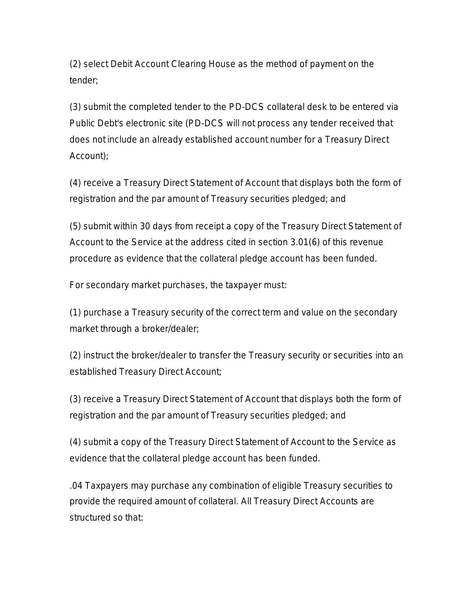(2) select Debit Account Clearing House as the method of payment on the tender;

(3) submit the completed tender to the PD-DCS collateral desk to be entered via Public Debt's electronic site (PD-DCS will not process any tender received that does not include an already established account number for a Treasury Direct Account);

(4) receive a Treasury Direct Statement of Account that displays both the form of registration and the par amount of Treasury securities pledged; and

(5) submit within 30 days from receipt a copy of the Treasury Direct Statement of Account to the Service at the address cited in section 3.01(6) of this revenue procedure as evidence that the collateral pledge account has been funded.

For secondary market purchases, the taxpayer must:

(1) purchase a Treasury security of the correct term and value on the secondary market through a broker/dealer;

(2) instruct the broker/dealer to transfer the Treasury security or securities into an established Treasury Direct Account;

(3) receive a Treasury Direct Statement of Account that displays both the form of registration and the par amount of Treasury securities pledged; and

(4) submit a copy of the Treasury Direct Statement of Account to the Service as evidence that the collateral pledge account has been funded.

.04 Taxpayers may purchase any combination of eligible Treasury securities to provide the required amount of collateral. All Treasury Direct Accounts are structured so that: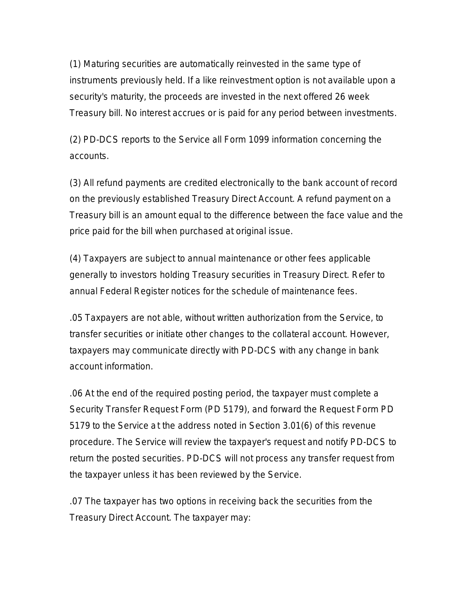(1) Maturing securities are automatically reinvested in the same type of instruments previously held. If a like reinvestment option is not available upon a security's maturity, the proceeds are invested in the next offered 26 week Treasury bill. No interest accrues or is paid for any period between investments.

(2) PD-DCS reports to the Service all Form 1099 information concerning the accounts.

(3) All refund payments are credited electronically to the bank account of record on the previously established Treasury Direct Account. A refund payment on a Treasury bill is an amount equal to the difference between the face value and the price paid for the bill when purchased at original issue.

(4) Taxpayers are subject to annual maintenance or other fees applicable generally to investors holding Treasury securities in Treasury Direct. Refer to annual Federal Register notices for the schedule of maintenance fees.

.05 Taxpayers are not able, without written authorization from the Service, to transfer securities or initiate other changes to the collateral account. However, taxpayers may communicate directly with PD-DCS with any change in bank account information.

.06 At the end of the required posting period, the taxpayer must complete a Security Transfer Request Form (PD 5179), and forward the Request Form PD 5179 to the Service at the address noted in Section 3.01(6) of this revenue procedure. The Service will review the taxpayer's request and notify PD-DCS to return the posted securities. PD-DCS will not process any transfer request from the taxpayer unless it has been reviewed by the Service.

.07 The taxpayer has two options in receiving back the securities from the Treasury Direct Account. The taxpayer may: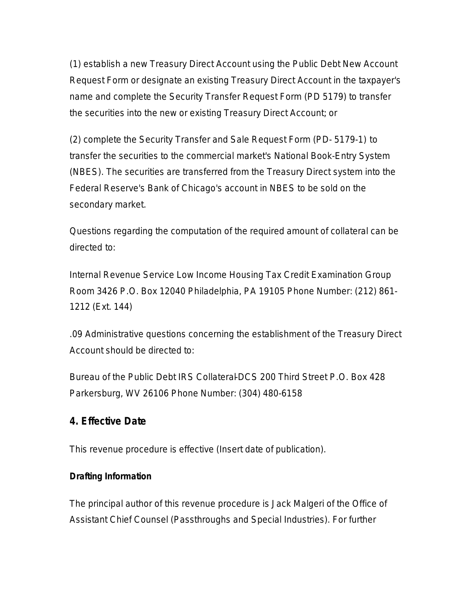(1) establish a new Treasury Direct Account using the Public Debt New Account Request Form or designate an existing Treasury Direct Account in the taxpayer's name and complete the Security Transfer Request Form (PD 5179) to transfer the securities into the new or existing Treasury Direct Account; or

(2) complete the Security Transfer and Sale Request Form (PD- 5179-1) to transfer the securities to the commercial market's National Book-Entry System (NBES). The securities are transferred from the Treasury Direct system into the Federal Reserve's Bank of Chicago's account in NBES to be sold on the secondary market.

Questions regarding the computation of the required amount of collateral can be directed to:

Internal Revenue Service Low Income Housing Tax Credit Examination Group Room 3426 P.O. Box 12040 Philadelphia, PA 19105 Phone Number: (212) 861- 1212 (Ext. 144)

.09 Administrative questions concerning the establishment of the Treasury Direct Account should be directed to:

Bureau of the Public Debt IRS Collateral-DCS 200 Third Street P.O. Box 428 Parkersburg, WV 26106 Phone Number: (304) 480-6158

#### **4. Effective Date**

This revenue procedure is effective (Insert date of publication).

#### **Drafting Information**

The principal author of this revenue procedure is Jack Malgeri of the Office of Assistant Chief Counsel (Passthroughs and Special Industries). For further